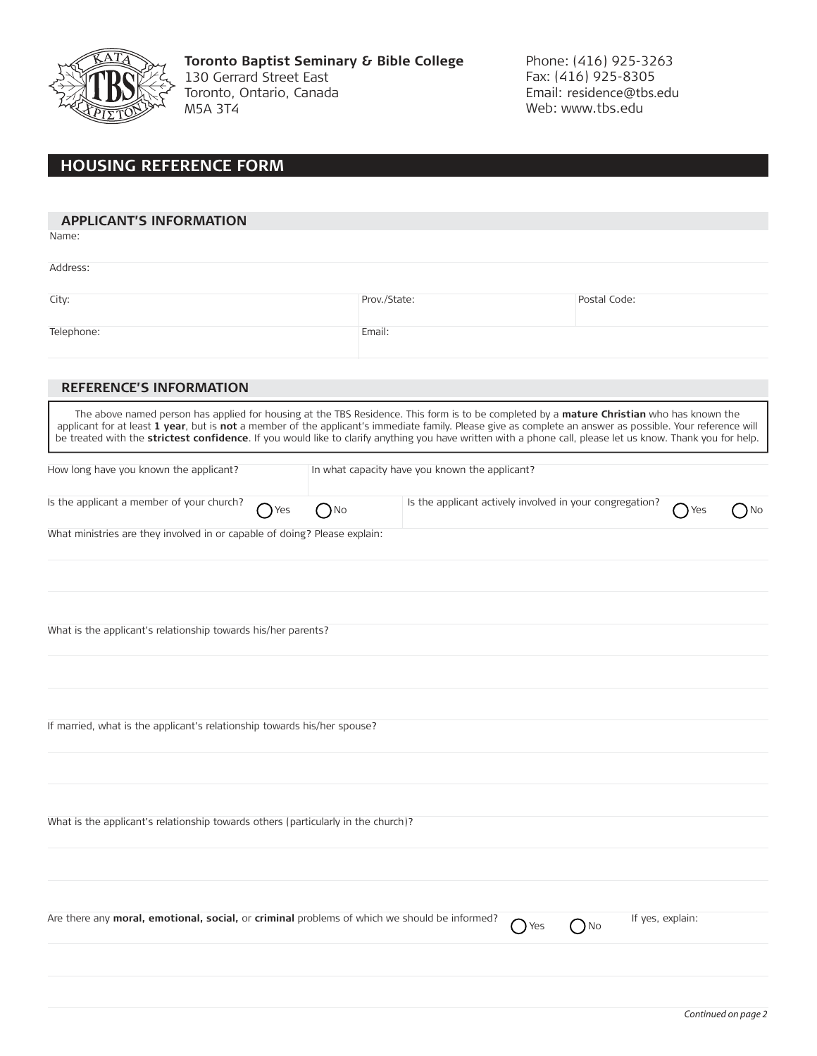

**Toronto Baptist Seminary & Bible College** 130 Gerrard Street East Toronto, Ontario, Canada M5A 3T4

Phone: (416) 925-3263 Fax: (416) 925-8305 Email: residence@tbs.edu Web: www.tbs.edu

## **HOUSING REFERENCE FORM**

| <b>APPLICANT'S INFORMATION</b>                                                                                                                                                                                                                                                                                                                                                                                                                                         |              |                                                          |            |                  |     |      |  |  |
|------------------------------------------------------------------------------------------------------------------------------------------------------------------------------------------------------------------------------------------------------------------------------------------------------------------------------------------------------------------------------------------------------------------------------------------------------------------------|--------------|----------------------------------------------------------|------------|------------------|-----|------|--|--|
| Name:                                                                                                                                                                                                                                                                                                                                                                                                                                                                  |              |                                                          |            |                  |     |      |  |  |
| Address:                                                                                                                                                                                                                                                                                                                                                                                                                                                               |              |                                                          |            |                  |     |      |  |  |
|                                                                                                                                                                                                                                                                                                                                                                                                                                                                        |              |                                                          |            |                  |     |      |  |  |
| City:                                                                                                                                                                                                                                                                                                                                                                                                                                                                  |              | Prov./State:                                             |            | Postal Code:     |     |      |  |  |
| Telephone:                                                                                                                                                                                                                                                                                                                                                                                                                                                             |              | Email:                                                   |            |                  |     |      |  |  |
|                                                                                                                                                                                                                                                                                                                                                                                                                                                                        |              |                                                          |            |                  |     |      |  |  |
| <b>REFERENCE'S INFORMATION</b>                                                                                                                                                                                                                                                                                                                                                                                                                                         |              |                                                          |            |                  |     |      |  |  |
| The above named person has applied for housing at the TBS Residence. This form is to be completed by a mature Christian who has known the<br>applicant for at least 1 year, but is not a member of the applicant's immediate family. Please give as complete an answer as possible. Your reference will<br>be treated with the strictest confidence. If you would like to clarify anything you have written with a phone call, please let us know. Thank you for help. |              |                                                          |            |                  |     |      |  |  |
| How long have you known the applicant?                                                                                                                                                                                                                                                                                                                                                                                                                                 |              | In what capacity have you known the applicant?           |            |                  |     |      |  |  |
| Is the applicant a member of your church?<br>Yes                                                                                                                                                                                                                                                                                                                                                                                                                       | $\bigcap$ No | Is the applicant actively involved in your congregation? |            |                  | Yes | ) No |  |  |
| What ministries are they involved in or capable of doing? Please explain:                                                                                                                                                                                                                                                                                                                                                                                              |              |                                                          |            |                  |     |      |  |  |
|                                                                                                                                                                                                                                                                                                                                                                                                                                                                        |              |                                                          |            |                  |     |      |  |  |
|                                                                                                                                                                                                                                                                                                                                                                                                                                                                        |              |                                                          |            |                  |     |      |  |  |
|                                                                                                                                                                                                                                                                                                                                                                                                                                                                        |              |                                                          |            |                  |     |      |  |  |
| What is the applicant's relationship towards his/her parents?                                                                                                                                                                                                                                                                                                                                                                                                          |              |                                                          |            |                  |     |      |  |  |
|                                                                                                                                                                                                                                                                                                                                                                                                                                                                        |              |                                                          |            |                  |     |      |  |  |
|                                                                                                                                                                                                                                                                                                                                                                                                                                                                        |              |                                                          |            |                  |     |      |  |  |
| If married, what is the applicant's relationship towards his/her spouse?                                                                                                                                                                                                                                                                                                                                                                                               |              |                                                          |            |                  |     |      |  |  |
|                                                                                                                                                                                                                                                                                                                                                                                                                                                                        |              |                                                          |            |                  |     |      |  |  |
|                                                                                                                                                                                                                                                                                                                                                                                                                                                                        |              |                                                          |            |                  |     |      |  |  |
|                                                                                                                                                                                                                                                                                                                                                                                                                                                                        |              |                                                          |            |                  |     |      |  |  |
| What is the applicant's relationship towards others (particularly in the church)?                                                                                                                                                                                                                                                                                                                                                                                      |              |                                                          |            |                  |     |      |  |  |
|                                                                                                                                                                                                                                                                                                                                                                                                                                                                        |              |                                                          |            |                  |     |      |  |  |
|                                                                                                                                                                                                                                                                                                                                                                                                                                                                        |              |                                                          |            |                  |     |      |  |  |
| Are there any moral, emotional, social, or criminal problems of which we should be informed?                                                                                                                                                                                                                                                                                                                                                                           |              |                                                          |            | If yes, explain: |     |      |  |  |
|                                                                                                                                                                                                                                                                                                                                                                                                                                                                        |              |                                                          | $\sum$ Yes | $\bigcap$ No     |     |      |  |  |
|                                                                                                                                                                                                                                                                                                                                                                                                                                                                        |              |                                                          |            |                  |     |      |  |  |
|                                                                                                                                                                                                                                                                                                                                                                                                                                                                        |              |                                                          |            |                  |     |      |  |  |